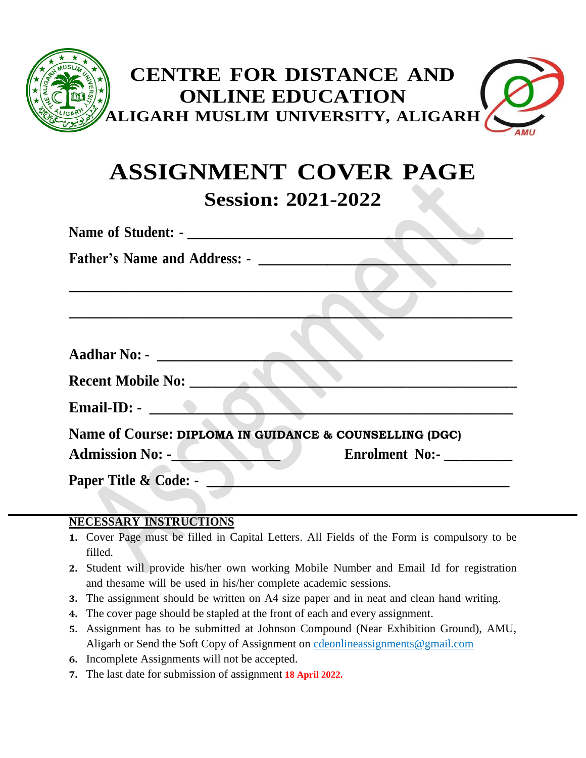

# **ASSIGNMENT COVER PAGE Session: 2021-2022**

| Name of Student: -                                                          |                       |
|-----------------------------------------------------------------------------|-----------------------|
| <b>Father's Name and Address: -</b>                                         |                       |
|                                                                             |                       |
|                                                                             |                       |
|                                                                             |                       |
| <b>Aadhar No: -</b>                                                         |                       |
| <b>Recent Mobile No:</b>                                                    |                       |
| $\n  Email-ID:\n\qquad \qquad \bullet \qquad \qquad \bullet \qquad \bullet$ |                       |
| Name of Course: DIPLOMA IN GUIDANCE & COUNSELLING (DGC)                     |                       |
| <b>Admission No: -</b>                                                      | <b>Enrolment No:-</b> |
| Paper Title & Code: -                                                       |                       |

#### **NECESSARY INSTRUCTIONS**

- **1.** Cover Page must be filled in Capital Letters. All Fields of the Form is compulsory to be filled.
- **2.** Student will provide his/her own working Mobile Number and Email Id for registration and thesame will be used in his/her complete academic sessions.
- **3.** The assignment should be written on A4 size paper and in neat and clean hand writing.
- **4.** The cover page should be stapled at the front of each and every assignment.
- **5.** Assignment has to be submitted at Johnson Compound (Near Exhibition Ground), AMU, Aligarh or Send the Soft Copy of Assignment on [cdeonlineassignments@gmail.com](mailto:cdeonlineassignments@gmail.com)
- **6.** Incomplete Assignments will not be accepted.
- **7.** The last date for submission of assignment **18 April 2022.**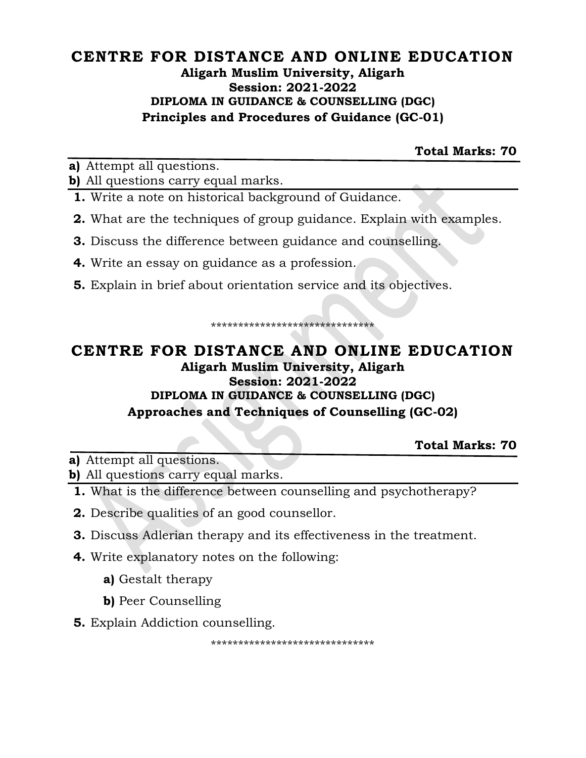### **CENTRE FOR DISTANCE AND ONLINE EDUCATION Aligarh Muslim University, Aligarh Session: 2021-2022 DIPLOMA IN GUIDANCE & COUNSELLING (DGC) Principles and Procedures of Guidance (GC-01)**

**Total Marks: 70**

**a)** Attempt all questions.

**b)** All questions carry equal marks.

- **1.** Write a note on historical background of Guidance.
- **2.** What are the techniques of group guidance. Explain with examples.
- **3.** Discuss the difference between guidance and counselling.
- **4.** Write an essay on guidance as a profession.
- **5.** Explain in brief about orientation service and its objectives.

\*\*\*\*\*\*\*\*\*\*\*\*\*\*\*\*\*\*\*\*\*\*\*\*\*\*\*\*\*\*

# **CENTRE FOR DISTANCE AND ONLINE EDUCATION Aligarh Muslim University, Aligarh Session: 2021-2022 DIPLOMA IN GUIDANCE & COUNSELLING (DGC) Approaches and Techniques of Counselling (GC-02)**

**Total Marks: 70**

**a)** Attempt all questions.

**b)** All questions carry equal marks.

- **1.** What is the difference between counselling and psychotherapy?
- **2.** Describe qualities of an good counsellor.
- **3.** Discuss Adlerian therapy and its effectiveness in the treatment.
- **4.** Write explanatory notes on the following:
	- **a)** Gestalt therapy
	- **b)** Peer Counselling
- **5.** Explain Addiction counselling.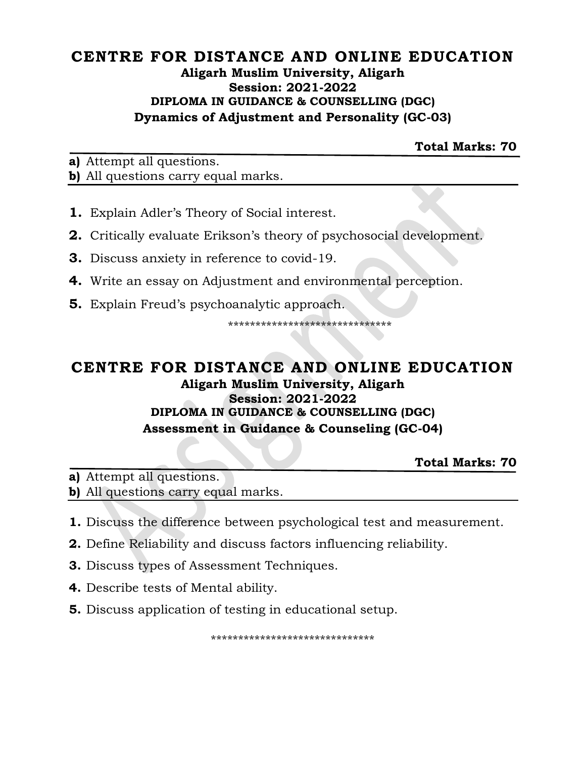#### **CENTRE FOR DISTANCE AND ONLINE EDUCATION Aligarh Muslim University, Aligarh Session: 2021-2022 DIPLOMA IN GUIDANCE & COUNSELLING (DGC) Dynamics of Adjustment and Personality (GC-03)**

**Total Marks: 70**

**a)** Attempt all questions.

**b)** All questions carry equal marks.

- **1.** Explain Adler's Theory of Social interest.
- **2.** Critically evaluate Erikson's theory of psychosocial development.
- **3.** Discuss anxiety in reference to covid-19.
- **4.** Write an essay on Adjustment and environmental perception.
- **5.** Explain Freud's psychoanalytic approach.

\*\*\*\*\*\*\*\*\*\*\*\*\*\*\*\*\*\*\*\*\*\*\*\*\*\*\*\*\*\*

#### **CENTRE FOR DISTANCE AND ONLINE EDUCATION Aligarh Muslim University, Aligarh Session: 2021-2022 DIPLOMA IN GUIDANCE & COUNSELLING (DGC) Assessment in Guidance & Counseling (GC-04)**

**Total Marks: 70**

**a)** Attempt all questions. **b)** All questions carry equal marks.

- **1.** Discuss the difference between psychological test and measurement.
- **2.** Define Reliability and discuss factors influencing reliability.
- **3.** Discuss types of Assessment Techniques.
- **4.** Describe tests of Mental ability.
- **5.** Discuss application of testing in educational setup.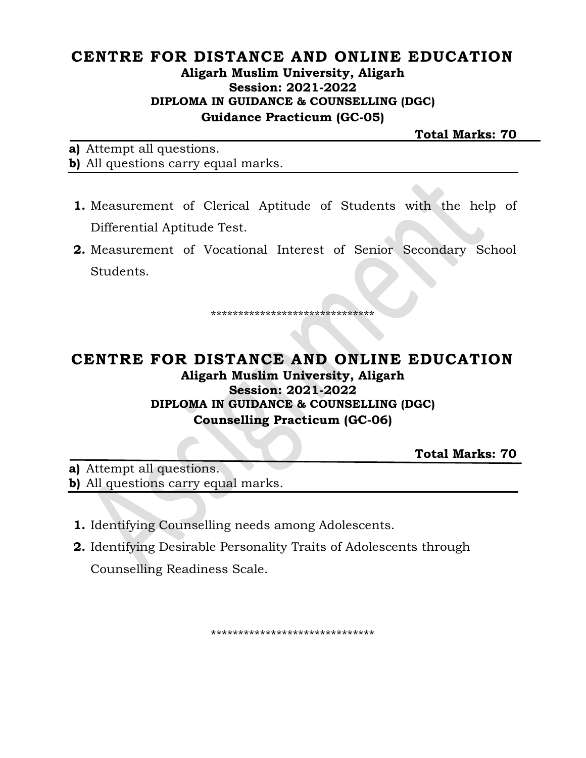### CENTRE FOR DISTANCE AND ONLINE EDUCATION Aligarh Muslim University, Aligarh **Session: 2021-2022** DIPLOMA IN GUIDANCE & COUNSELLING (DGC) **Guidance Practicum (GC-05)**

**Total Marks: 70** 

a) Attempt all questions. b) All questions carry equal marks.

- 1. Measurement of Clerical Aptitude of Students with the help of Differential Aptitude Test.
- 2. Measurement of Vocational Interest of Senior Secondary School Students.

\*\*\*\*\*\*\*\*\*\*\*\*\*\*\*\*\*\*\*\*\*\*\*\*\*\*\*\*\*\*

## CENTRE FOR DISTANCE AND ONLINE EDUCATION Aligarh Muslim University, Aligarh **Session: 2021-2022** DIPLOMA IN GUIDANCE & COUNSELLING (DGC) **Counselling Practicum (GC-06)**

**Total Marks: 70** 

a) Attempt all questions. b) All questions carry equal marks.

- **1.** Identifying Counselling needs among Adolescents.
- **2.** Identifying Desirable Personality Traits of Adolescents through Counselling Readiness Scale.